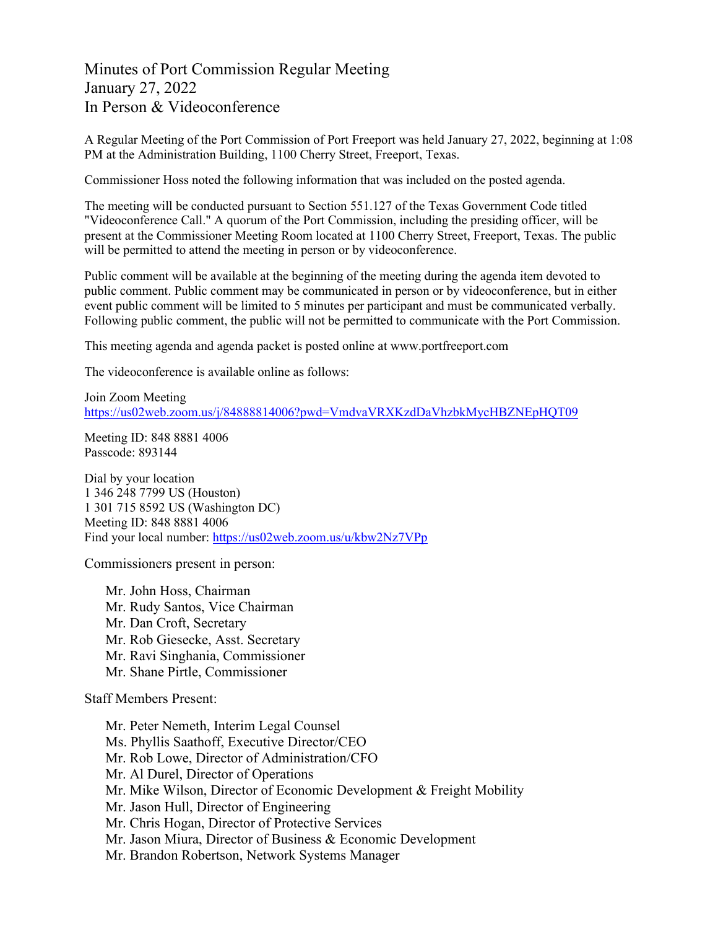Minutes of Port Commission Regular Meeting January 27, 2022 In Person & Videoconference

A Regular Meeting of the Port Commission of Port Freeport was held January 27, 2022, beginning at 1:08 PM at the Administration Building, 1100 Cherry Street, Freeport, Texas.

Commissioner Hoss noted the following information that was included on the posted agenda.

The meeting will be conducted pursuant to Section 551.127 of the Texas Government Code titled "Videoconference Call." A quorum of the Port Commission, including the presiding officer, will be present at the Commissioner Meeting Room located at 1100 Cherry Street, Freeport, Texas. The public will be permitted to attend the meeting in person or by videoconference.

Public comment will be available at the beginning of the meeting during the agenda item devoted to public comment. Public comment may be communicated in person or by videoconference, but in either event public comment will be limited to 5 minutes per participant and must be communicated verbally. Following public comment, the public will not be permitted to communicate with the Port Commission.

This meeting agenda and agenda packet is posted online at [www.portfreeport.com](http://www.portfreeport.com/)

The videoconference is available online as follows:

Join Zoom Meeting <https://us02web.zoom.us/j/84888814006?pwd=VmdvaVRXKzdDaVhzbkMycHBZNEpHQT09>

Meeting ID: 848 8881 4006 Passcode: 893144

Dial by your location 1 346 248 7799 US (Houston) 1 301 715 8592 US (Washington DC) Meeting ID: 848 8881 4006 Find your local number:<https://us02web.zoom.us/u/kbw2Nz7VPp>

Commissioners present in person:

Mr. John Hoss, Chairman Mr. Rudy Santos, Vice Chairman Mr. Dan Croft, Secretary Mr. Rob Giesecke, Asst. Secretary Mr. Ravi Singhania, Commissioner Mr. Shane Pirtle, Commissioner

Staff Members Present:

Mr. Peter Nemeth, Interim Legal Counsel Ms. Phyllis Saathoff, Executive Director/CEO Mr. Rob Lowe, Director of Administration/CFO Mr. Al Durel, Director of Operations Mr. Mike Wilson, Director of Economic Development & Freight Mobility Mr. Jason Hull, Director of Engineering Mr. Chris Hogan, Director of Protective Services Mr. Jason Miura, Director of Business & Economic Development Mr. Brandon Robertson, Network Systems Manager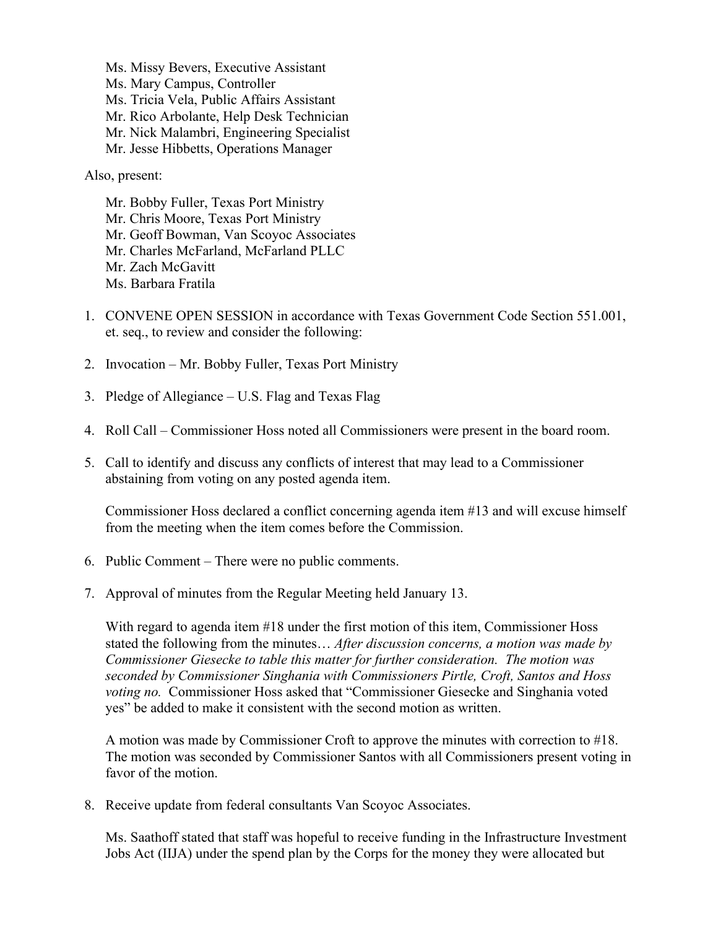Ms. Missy Bevers, Executive Assistant Ms. Mary Campus, Controller Ms. Tricia Vela, Public Affairs Assistant Mr. Rico Arbolante, Help Desk Technician Mr. Nick Malambri, Engineering Specialist Mr. Jesse Hibbetts, Operations Manager

Also, present:

Mr. Bobby Fuller, Texas Port Ministry Mr. Chris Moore, Texas Port Ministry Mr. Geoff Bowman, Van Scoyoc Associates Mr. Charles McFarland, McFarland PLLC Mr. Zach McGavitt Ms. Barbara Fratila

- 1. CONVENE OPEN SESSION in accordance with Texas Government Code Section 551.001, et. seq., to review and consider the following:
- 2. Invocation Mr. Bobby Fuller, Texas Port Ministry
- 3. Pledge of Allegiance U.S. Flag and Texas Flag
- 4. Roll Call Commissioner Hoss noted all Commissioners were present in the board room.
- 5. Call to identify and discuss any conflicts of interest that may lead to a Commissioner abstaining from voting on any posted agenda item.

Commissioner Hoss declared a conflict concerning agenda item #13 and will excuse himself from the meeting when the item comes before the Commission.

- 6. Public Comment There were no public comments.
- 7. Approval of minutes from the Regular Meeting held January 13.

With regard to agenda item #18 under the first motion of this item, Commissioner Hoss stated the following from the minutes… *After discussion concerns, a motion was made by Commissioner Giesecke to table this matter for further consideration. The motion was seconded by Commissioner Singhania with Commissioners Pirtle, Croft, Santos and Hoss voting no.* Commissioner Hoss asked that "Commissioner Giesecke and Singhania voted yes" be added to make it consistent with the second motion as written.

A motion was made by Commissioner Croft to approve the minutes with correction to #18. The motion was seconded by Commissioner Santos with all Commissioners present voting in favor of the motion.

8. Receive update from federal consultants Van Scoyoc Associates.

Ms. Saathoff stated that staff was hopeful to receive funding in the Infrastructure Investment Jobs Act (IIJA) under the spend plan by the Corps for the money they were allocated but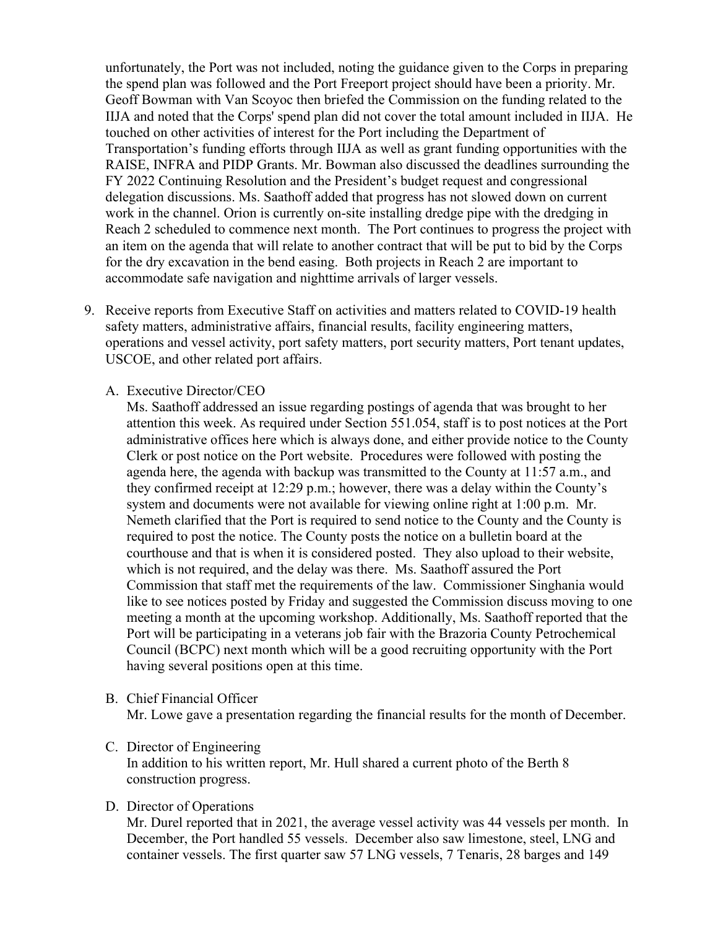unfortunately, the Port was not included, noting the guidance given to the Corps in preparing the spend plan was followed and the Port Freeport project should have been a priority. Mr. Geoff Bowman with Van Scoyoc then briefed the Commission on the funding related to the IIJA and noted that the Corps' spend plan did not cover the total amount included in IIJA. He touched on other activities of interest for the Port including the Department of Transportation's funding efforts through IIJA as well as grant funding opportunities with the RAISE, INFRA and PIDP Grants. Mr. Bowman also discussed the deadlines surrounding the FY 2022 Continuing Resolution and the President's budget request and congressional delegation discussions. Ms. Saathoff added that progress has not slowed down on current work in the channel. Orion is currently on-site installing dredge pipe with the dredging in Reach 2 scheduled to commence next month. The Port continues to progress the project with an item on the agenda that will relate to another contract that will be put to bid by the Corps for the dry excavation in the bend easing. Both projects in Reach 2 are important to accommodate safe navigation and nighttime arrivals of larger vessels.

- 9. Receive reports from Executive Staff on activities and matters related to COVID-19 health safety matters, administrative affairs, financial results, facility engineering matters, operations and vessel activity, port safety matters, port security matters, Port tenant updates, USCOE, and other related port affairs.
	- A. Executive Director/CEO

Ms. Saathoff addressed an issue regarding postings of agenda that was brought to her attention this week. As required under Section 551.054, staff is to post notices at the Port administrative offices here which is always done, and either provide notice to the County Clerk or post notice on the Port website. Procedures were followed with posting the agenda here, the agenda with backup was transmitted to the County at 11:57 a.m., and they confirmed receipt at 12:29 p.m.; however, there was a delay within the County's system and documents were not available for viewing online right at 1:00 p.m. Mr. Nemeth clarified that the Port is required to send notice to the County and the County is required to post the notice. The County posts the notice on a bulletin board at the courthouse and that is when it is considered posted. They also upload to their website, which is not required, and the delay was there. Ms. Saathoff assured the Port Commission that staff met the requirements of the law. Commissioner Singhania would like to see notices posted by Friday and suggested the Commission discuss moving to one meeting a month at the upcoming workshop. Additionally, Ms. Saathoff reported that the Port will be participating in a veterans job fair with the Brazoria County Petrochemical Council (BCPC) next month which will be a good recruiting opportunity with the Port having several positions open at this time.

## B. Chief Financial Officer

Mr. Lowe gave a presentation regarding the financial results for the month of December.

## C. Director of Engineering

In addition to his written report, Mr. Hull shared a current photo of the Berth 8 construction progress.

## D. Director of Operations

Mr. Durel reported that in 2021, the average vessel activity was 44 vessels per month. In December, the Port handled 55 vessels. December also saw limestone, steel, LNG and container vessels. The first quarter saw 57 LNG vessels, 7 Tenaris, 28 barges and 149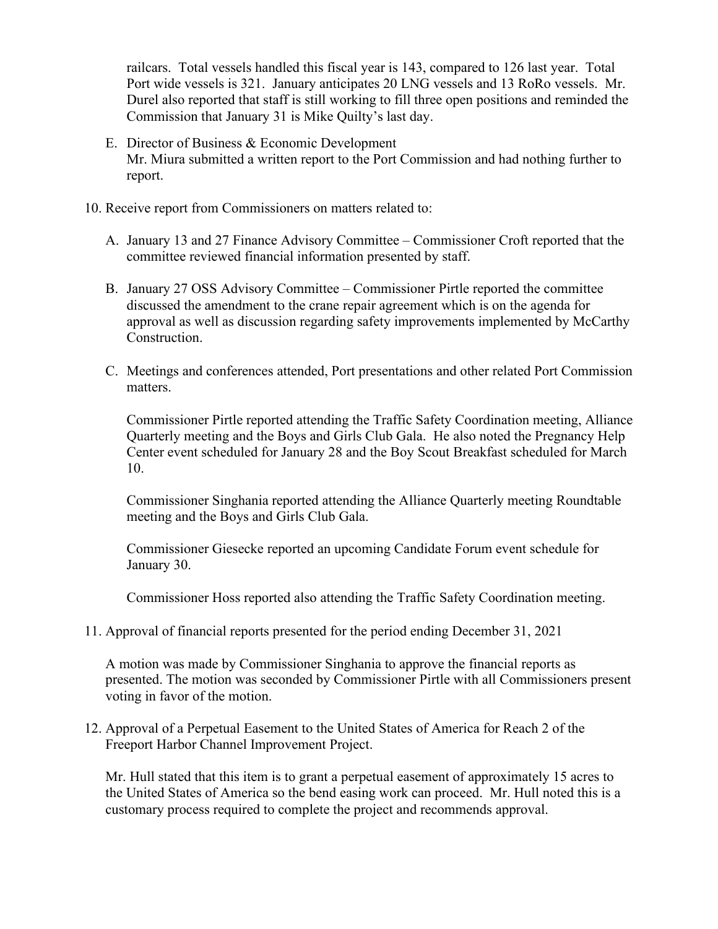railcars. Total vessels handled this fiscal year is 143, compared to 126 last year. Total Port wide vessels is 321. January anticipates 20 LNG vessels and 13 RoRo vessels. Mr. Durel also reported that staff is still working to fill three open positions and reminded the Commission that January 31 is Mike Quilty's last day.

- E. Director of Business & Economic Development Mr. Miura submitted a written report to the Port Commission and had nothing further to report.
- 10. Receive report from Commissioners on matters related to:
	- A. January 13 and 27 Finance Advisory Committee Commissioner Croft reported that the committee reviewed financial information presented by staff.
	- B. January 27 OSS Advisory Committee Commissioner Pirtle reported the committee discussed the amendment to the crane repair agreement which is on the agenda for approval as well as discussion regarding safety improvements implemented by McCarthy Construction.
	- C. Meetings and conferences attended, Port presentations and other related Port Commission matters.

Commissioner Pirtle reported attending the Traffic Safety Coordination meeting, Alliance Quarterly meeting and the Boys and Girls Club Gala. He also noted the Pregnancy Help Center event scheduled for January 28 and the Boy Scout Breakfast scheduled for March 10.

Commissioner Singhania reported attending the Alliance Quarterly meeting Roundtable meeting and the Boys and Girls Club Gala.

Commissioner Giesecke reported an upcoming Candidate Forum event schedule for January 30.

Commissioner Hoss reported also attending the Traffic Safety Coordination meeting.

11. Approval of financial reports presented for the period ending December 31, 2021

A motion was made by Commissioner Singhania to approve the financial reports as presented. The motion was seconded by Commissioner Pirtle with all Commissioners present voting in favor of the motion.

12. Approval of a Perpetual Easement to the United States of America for Reach 2 of the Freeport Harbor Channel Improvement Project.

Mr. Hull stated that this item is to grant a perpetual easement of approximately 15 acres to the United States of America so the bend easing work can proceed. Mr. Hull noted this is a customary process required to complete the project and recommends approval.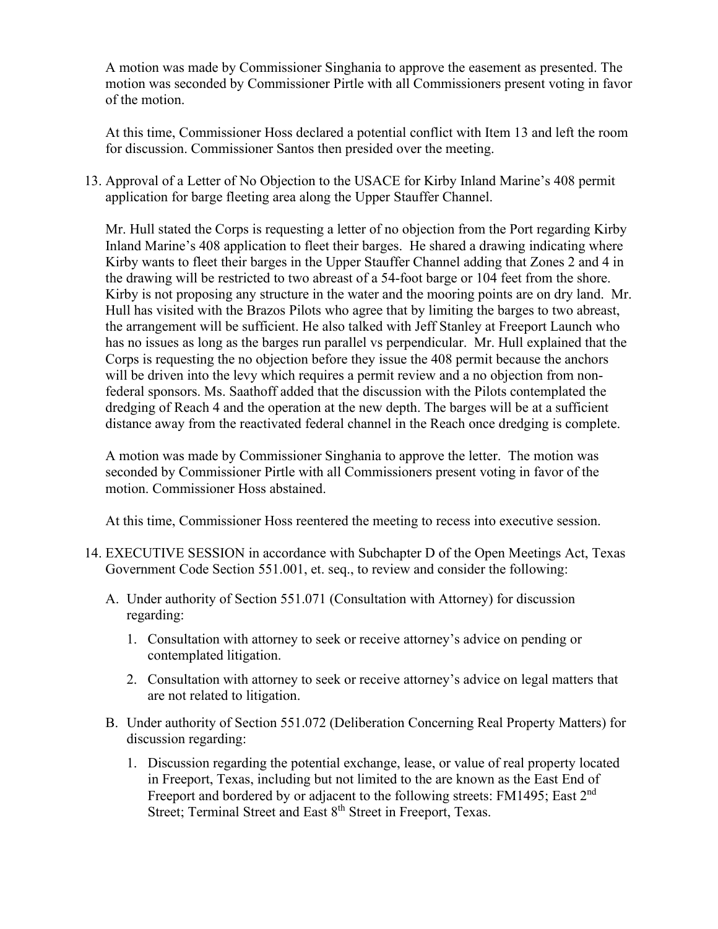A motion was made by Commissioner Singhania to approve the easement as presented. The motion was seconded by Commissioner Pirtle with all Commissioners present voting in favor of the motion.

At this time, Commissioner Hoss declared a potential conflict with Item 13 and left the room for discussion. Commissioner Santos then presided over the meeting.

13. Approval of a Letter of No Objection to the USACE for Kirby Inland Marine's 408 permit application for barge fleeting area along the Upper Stauffer Channel.

Mr. Hull stated the Corps is requesting a letter of no objection from the Port regarding Kirby Inland Marine's 408 application to fleet their barges. He shared a drawing indicating where Kirby wants to fleet their barges in the Upper Stauffer Channel adding that Zones 2 and 4 in the drawing will be restricted to two abreast of a 54-foot barge or 104 feet from the shore. Kirby is not proposing any structure in the water and the mooring points are on dry land. Mr. Hull has visited with the Brazos Pilots who agree that by limiting the barges to two abreast, the arrangement will be sufficient. He also talked with Jeff Stanley at Freeport Launch who has no issues as long as the barges run parallel vs perpendicular. Mr. Hull explained that the Corps is requesting the no objection before they issue the 408 permit because the anchors will be driven into the levy which requires a permit review and a no objection from nonfederal sponsors. Ms. Saathoff added that the discussion with the Pilots contemplated the dredging of Reach 4 and the operation at the new depth. The barges will be at a sufficient distance away from the reactivated federal channel in the Reach once dredging is complete.

A motion was made by Commissioner Singhania to approve the letter. The motion was seconded by Commissioner Pirtle with all Commissioners present voting in favor of the motion. Commissioner Hoss abstained.

At this time, Commissioner Hoss reentered the meeting to recess into executive session.

- 14. EXECUTIVE SESSION in accordance with Subchapter D of the Open Meetings Act, Texas Government Code Section 551.001, et. seq., to review and consider the following:
	- A. Under authority of Section 551.071 (Consultation with Attorney) for discussion regarding:
		- 1. Consultation with attorney to seek or receive attorney's advice on pending or contemplated litigation.
		- 2. Consultation with attorney to seek or receive attorney's advice on legal matters that are not related to litigation.
	- B. Under authority of Section 551.072 (Deliberation Concerning Real Property Matters) for discussion regarding:
		- 1. Discussion regarding the potential exchange, lease, or value of real property located in Freeport, Texas, including but not limited to the are known as the East End of Freeport and bordered by or adjacent to the following streets: FM1495; East 2<sup>nd</sup> Street; Terminal Street and East 8<sup>th</sup> Street in Freeport, Texas.